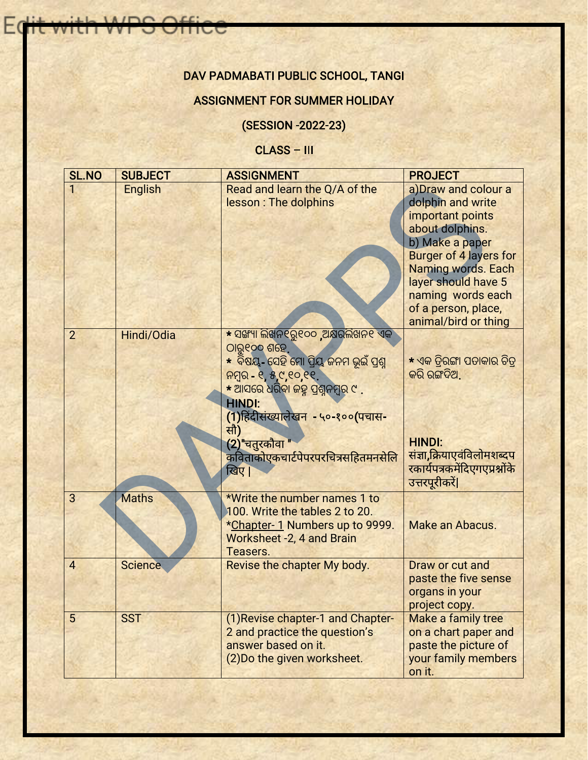## DAV PADMABATI PUBLIC SCHOOL, TANGI

INDO Off

Eo

## ASSIGNMENT FOR SUMMER HOLIDAY

(SESSION -2022-23)

CLASS – III

| <b>SL.NO</b>   | <b>SUBJECT</b> | <b>ASSIGNMENT</b>                                                                                                                                                                                                                                                                                | <b>PROJECT</b>                                                                                                                                                                                                                                               |  |
|----------------|----------------|--------------------------------------------------------------------------------------------------------------------------------------------------------------------------------------------------------------------------------------------------------------------------------------------------|--------------------------------------------------------------------------------------------------------------------------------------------------------------------------------------------------------------------------------------------------------------|--|
|                | <b>English</b> | Read and learn the Q/A of the<br>lesson : The dolphins                                                                                                                                                                                                                                           | a) Draw and colour a<br>dolphin and write<br>important points<br>about dolphins.<br>b) Make a paper<br><b>Burger of 4 layers for</b><br><b>Naming words. Each</b><br>layer should have 5<br>naming words each<br>of a person, place,<br>animal/bird or thing |  |
| $\overline{2}$ | Hindi/Odia     | <u>* ସଙ୍ଖ୍ୟା ଲିଖନ୧ରୁ୧୦୦ ,ଅକ୍ଷରଲିଖନ୧ ଏକ</u><br>ଠାରୁ୧୦୦ ଶହେ,<br>* ବିଷୟ- ସେହି ମୋ ପ୍ରିୟ ଜନମ ଭୂଇଁ ପ୍ରଶ୍ନ<br>ନମ୍ବର ୧,୫,୯,୧୦,୧୧.<br><u>* ଆସରେ ଧରିବା ଜହ୍ନ ପ୍ରଶ୍ନନମ୍ବର ୯.</u><br><b>HINDI:</b><br>(1)हिंदीसंख्यालेखन - ५०-१००(पचास-<br>सौ)<br>(2)"चतुरकौवा<br>कविताकोएकचार्टपेपरपरचित्रसहितमनसेलि<br>खिए। | * ଏକ ତିରଙ୍ଗା ପତାକାର ଚିତ୍<br>କରି ରଙ୍ଗଦିଅ.<br><b>HINDI:</b><br><u>संज्ञा,क्रियाएवंविलोमशब्दप</u><br>रकार्यपत्रकमेंदिएगएप्रश्नोंके<br>उत्तरपूरीकरें                                                                                                             |  |
| 3              | <b>Maths</b>   | *Write the number names 1 to<br>100. Write the tables 2 to 20.<br>*Chapter-1 Numbers up to 9999.<br>Worksheet -2, 4 and Brain<br>Teasers.                                                                                                                                                        | Make an Abacus.                                                                                                                                                                                                                                              |  |
| $\overline{4}$ | <b>Science</b> | Revise the chapter My body.                                                                                                                                                                                                                                                                      | Draw or cut and<br>paste the five sense<br>organs in your<br>project copy.                                                                                                                                                                                   |  |
| 5              | <b>SST</b>     | (1) Revise chapter-1 and Chapter-<br>2 and practice the question's<br>answer based on it.<br>(2) Do the given worksheet.                                                                                                                                                                         | Make a family tree<br>on a chart paper and<br>paste the picture of<br>your family members<br>on it.                                                                                                                                                          |  |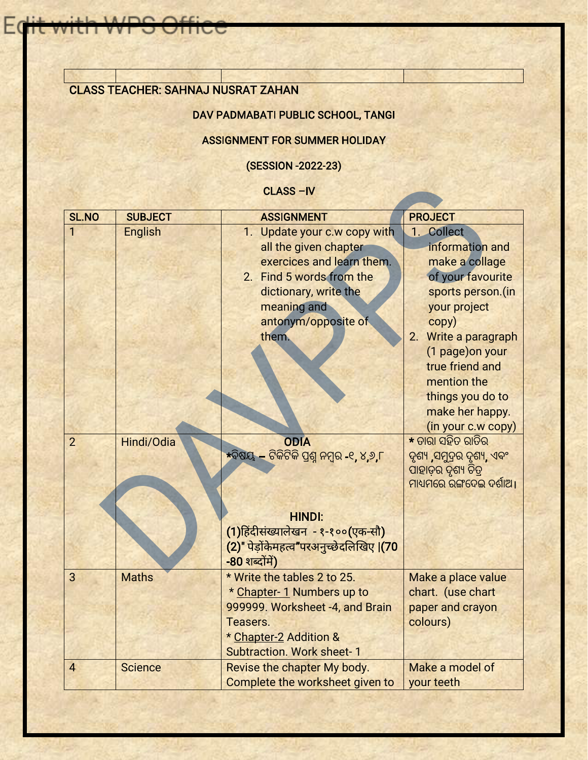## CLASS TEACHER: SAHNAJ NUSRAT ZAHAN

**IAIDO** 

 $E$ 

## DAV PADMABATI PUBLIC SCHOOL, TANGI

### ASSIGNMENT FOR SUMMER HOLIDAY

(SESSION -2022-23)

#### CLASS –IV

|                |                | <b>CLASS-IV</b>                                                                                                                                                                        |                                                                                                                                                                                      |
|----------------|----------------|----------------------------------------------------------------------------------------------------------------------------------------------------------------------------------------|--------------------------------------------------------------------------------------------------------------------------------------------------------------------------------------|
| <b>SL.NO</b>   | <b>SUBJECT</b> | <b>ASSIGNMENT</b>                                                                                                                                                                      | <b>PROJECT</b>                                                                                                                                                                       |
|                | <b>English</b> | 1. Update your c.w copy with<br>all the given chapter<br>exercices and learn them.<br>2. Find 5 words from the<br>dictionary, write the<br>meaning and<br>antonym/opposite of<br>them. | 1. Collect<br>information and<br>make a collage<br>of your favourite<br>sports person.(in<br>your project<br>copy)<br>Write a paragraph<br>2.<br>(1 page) on your<br>true friend and |
| $\overline{2}$ | Hindi/Odia     | <b>ODIA</b>                                                                                                                                                                            | mention the<br>things you do to<br>make her happy.<br>(in your c.w copy)<br>* ତାରା ସହିତ ରାତିର                                                                                        |
|                |                | *ବିଷୟ – ଟିକିଟିକି ପ୍ରଶ୍ନ ନମ୍ବର -୧, ୪,୬,୮                                                                                                                                                | ଦୃଶ୍ୟ ,ସମୁଦ୍ରର ଦୃଶ୍ୟ, ଏବଂ<br>ପାହାଡ଼ର ଦୃଶ୍ୟ ଚିତ୍ର<br>ମାଧ୍ୟମରେ ରଙ୍ଗଦେଇ ଦର୍ଶାଅ ।                                                                                                        |
|                |                | <b>HINDI:</b><br>(1)हिंदीसंख्यालेखन - १-१००(एक-सौ)<br>(2)" पेड़ोंकेमहत्व"परअनुच्छेदलिखिए  (70<br>-80 शब्दोंमें)                                                                        |                                                                                                                                                                                      |
| 3              | <b>Maths</b>   | * Write the tables 2 to 25.<br>* Chapter-1 Numbers up to<br>999999. Worksheet -4, and Brain<br>Teasers.<br>* Chapter-2 Addition &<br><b>Subtraction. Work sheet-1</b>                  | Make a place value<br>chart. (use chart<br>paper and crayon<br>colours)                                                                                                              |
| $\overline{4}$ | <b>Science</b> | Revise the chapter My body.<br>Complete the worksheet given to                                                                                                                         | Make a model of<br>your teeth                                                                                                                                                        |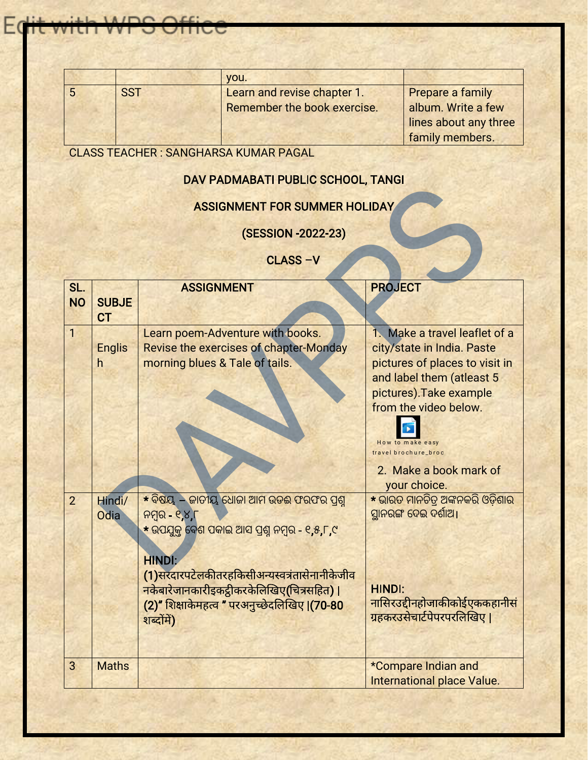|            | VOU.                        |                       |
|------------|-----------------------------|-----------------------|
| <b>SST</b> | Learn and revise chapter 1. | Prepare a family      |
|            | Remember the book exercise. | album. Write a few    |
|            |                             | lines about any three |
|            |                             | family members.       |

CLASS TEACHER : SANGHARSA KUMAR PAGAL

 $n \cap$ 

HC

## DAV PADMABATI PUBLIC SCHOOL, TANGI

## ASSIGNMENT FOR SUMMER HOLIDAY

# (SESSION -2022-23)

# CLASS –V

|                  |                           | <u>DAV PADMABATI PUBLIC SCHOOL, TANGI</u>                                                                                                                                                                                                                                                                                      |                                                                                                                                                                                                                                                      |
|------------------|---------------------------|--------------------------------------------------------------------------------------------------------------------------------------------------------------------------------------------------------------------------------------------------------------------------------------------------------------------------------|------------------------------------------------------------------------------------------------------------------------------------------------------------------------------------------------------------------------------------------------------|
|                  |                           | <b>ASSIGNMENT FOR SUMMER HOLIDAY</b>                                                                                                                                                                                                                                                                                           |                                                                                                                                                                                                                                                      |
|                  |                           | (SESSION - 2022 - 23)                                                                                                                                                                                                                                                                                                          |                                                                                                                                                                                                                                                      |
|                  |                           | CLASS-V                                                                                                                                                                                                                                                                                                                        |                                                                                                                                                                                                                                                      |
| SL.<br><b>NO</b> | <b>SUBJE</b><br><b>CT</b> | <b>ASSIGNMENT</b>                                                                                                                                                                                                                                                                                                              | <b>PROJECT</b>                                                                                                                                                                                                                                       |
| 1                | <b>Englis</b><br>h        | Learn poem-Adventure with books.<br>Revise the exercises of chapter-Monday<br>morning blues & Tale of tails.                                                                                                                                                                                                                   | 1. Make a travel leaflet of a<br>city/state in India. Paste<br>pictures of places to visit in<br>and label them (atleast 5<br>pictures). Take example<br>from the video below.<br>How to make easy<br>travel brochure_broc<br>2. Make a book mark of |
| $\overline{2}$   | Hindi/<br><b>Odia</b>     | $\star$ ବିଷୟ $\overline{-}$ ଜାତୀୟ ଧୋଜା ଆମ ଉଡଈ ଫରଫର ପ୍ରଶ୍ନ<br>ନମ୍ବର $-$ ୧,୪,୮<br>* ଉପଯୁକ୍ତ ବେଶ ପକାଇ ଆସ ପ୍ରଶ୍ନ ନମ୍ବର - ୧,୫,୮,୯<br><b>HINDI:</b><br>(1)सरदारपटेलकीतरहकिसीअन्यस्वत्रंतासेनानीकेजीव<br>नकेबारेजानकारीइकट्ठीकरकेलिखिए(चित्रसहित)  <br><mark>(2)"</mark> शिक्षाकेमहत्व " परअनुच्छेदलिखिए <b>।(70-80</b><br>शब्दोंमें) | your choice.<br>* ଭାରତ ମାନଚିତ୍ର ଅଙ୍କନକରି ଓଡ଼ିଶାର<br>ସ୍ଥାନରଙ୍ଗ ଦେଇ ଦର୍ଶାଅ।<br><b>HINDI:</b><br>नासिरउद्दीनहोजाकीकोईएककहानीसं<br>ग्रहकरउसेचार्टपेपरपरलिखिए                                                                                             |
| 3                | <b>Maths</b>              |                                                                                                                                                                                                                                                                                                                                | *Compare Indian and<br><b>International place Value.</b>                                                                                                                                                                                             |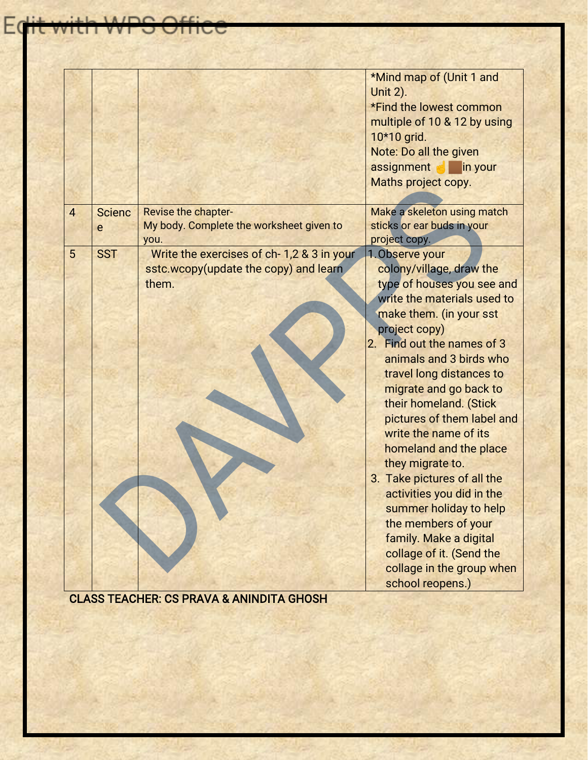|                |               |                                                     | *Mind map of (Unit 1 and     |  |
|----------------|---------------|-----------------------------------------------------|------------------------------|--|
|                |               |                                                     | <b>Unit 2).</b>              |  |
|                |               |                                                     | *Find the lowest common      |  |
|                |               |                                                     | multiple of 10 & 12 by using |  |
|                |               |                                                     | 10*10 grid.                  |  |
|                |               |                                                     | Note: Do all the given       |  |
|                |               |                                                     | assignment<br>in your        |  |
|                |               |                                                     | Maths project copy.          |  |
|                |               |                                                     |                              |  |
| $\overline{4}$ | <b>Scienc</b> | Revise the chapter-                                 | Make a skeleton using match  |  |
|                | e             | My body. Complete the worksheet given to            | sticks or ear buds in your   |  |
|                |               | you.                                                | project copy.                |  |
| 5              | <b>SST</b>    | Write the exercises of ch-1,2 & 3 in your           | 1. Observe your              |  |
|                |               | sstc.wcopy(update the copy) and learn               | colony/village, draw the     |  |
|                |               | them.                                               | type of houses you see and   |  |
|                |               |                                                     | write the materials used to  |  |
|                |               |                                                     | make them. (in your sst      |  |
|                |               |                                                     | project copy)                |  |
|                |               |                                                     | 2. Find out the names of 3   |  |
|                |               |                                                     | animals and 3 birds who      |  |
|                |               |                                                     | travel long distances to     |  |
|                |               |                                                     | migrate and go back to       |  |
|                |               |                                                     | their homeland. (Stick       |  |
|                |               |                                                     | pictures of them label and   |  |
|                |               |                                                     | write the name of its        |  |
|                |               |                                                     | homeland and the place       |  |
|                |               |                                                     |                              |  |
|                |               |                                                     | they migrate to.             |  |
|                |               |                                                     | 3. Take pictures of all the  |  |
|                |               |                                                     | activities you did in the    |  |
|                |               |                                                     | summer holiday to help       |  |
|                |               |                                                     | the members of your          |  |
|                |               |                                                     | family. Make a digital       |  |
|                |               |                                                     | collage of it. (Send the     |  |
|                |               |                                                     | collage in the group when    |  |
|                |               | <b>CLASS TEACHER: CS PRAVA &amp; ANINDITA GHOSH</b> | school reopens.)             |  |

**Edit with WPS Office**